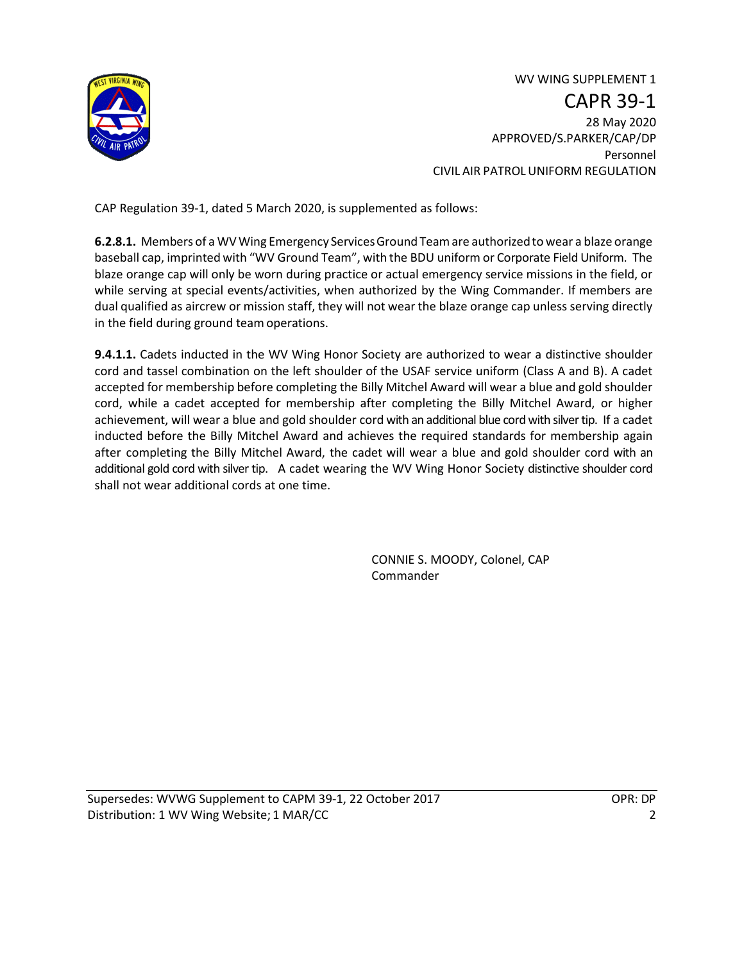

WV WING SUPPLEMENT 1 CAPR 39-1 28 May 2020 APPROVED/S.PARKER/CAP/DP Personnel CIVIL AIR PATROLUNIFORM REGULATION

CAP Regulation 39-1, dated 5 March 2020, is supplemented as follows:

**6.2.8.1.** Members of a WVWing Emergency ServicesGround Teamare authorizedto wear a blaze orange baseball cap, imprinted with "WV Ground Team", with the BDU uniform or Corporate Field Uniform. The blaze orange cap will only be worn during practice or actual emergency service missions in the field, or while serving at special events/activities, when authorized by the Wing Commander. If members are dual qualified as aircrew or mission staff, they will not wear the blaze orange cap unless serving directly in the field during ground teamoperations.

**9.4.1.1.** Cadets inducted in the WV Wing Honor Society are authorized to wear a distinctive shoulder cord and tassel combination on the left shoulder of the USAF service uniform (Class A and B). A cadet accepted for membership before completing the Billy Mitchel Award will wear a blue and gold shoulder cord, while a cadet accepted for membership after completing the Billy Mitchel Award, or higher achievement, will wear a blue and gold shoulder cord with an additional blue cord with silver tip. If a cadet inducted before the Billy Mitchel Award and achieves the required standards for membership again after completing the Billy Mitchel Award, the cadet will wear a blue and gold shoulder cord with an additional gold cord with silver tip. A cadet wearing the WV Wing Honor Society distinctive shoulder cord shall not wear additional cords at one time.

> CONNIE S. MOODY, Colonel, CAP Commander